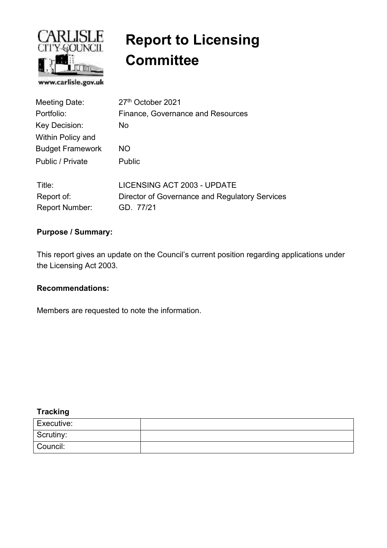

# **Report to Licensing Committee**

| Meeting Date:            | 27 <sup>th</sup> October 2021                  |  |  |  |  |
|--------------------------|------------------------------------------------|--|--|--|--|
| Portfolio:               | Finance, Governance and Resources              |  |  |  |  |
| Key Decision:            | No.                                            |  |  |  |  |
| <b>Within Policy and</b> |                                                |  |  |  |  |
| <b>Budget Framework</b>  | NO.                                            |  |  |  |  |
| Public / Private         | <b>Public</b>                                  |  |  |  |  |
| Title:                   | LICENSING ACT 2003 - UPDATE                    |  |  |  |  |
| Report of:               | Director of Governance and Regulatory Services |  |  |  |  |
| <b>Report Number:</b>    | GD. 77/21                                      |  |  |  |  |

#### **Purpose / Summary:**

This report gives an update on the Council's current position regarding applications under the Licensing Act 2003.

#### **Recommendations:**

Members are requested to note the information.

## **Tracking**

| Executive: |  |
|------------|--|
| Scrutiny:  |  |
| Council:   |  |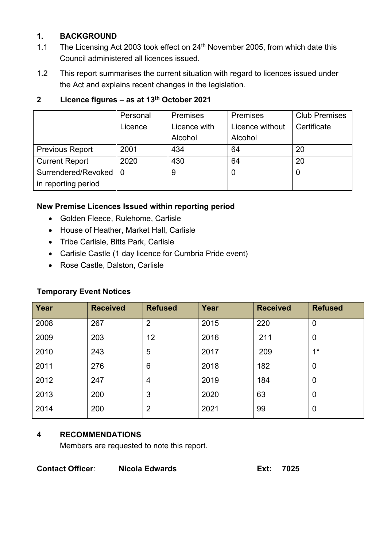## **1. BACKGROUND**

- 1.1 The Licensing Act 2003 took effect on  $24<sup>th</sup>$  November 2005, from which date this Council administered all licences issued.
- 1.2 This report summarises the current situation with regard to licences issued under the Act and explains recent changes in the legislation.

|                         | Personal | <b>Premises</b> | <b>Premises</b> | <b>Club Premises</b> |
|-------------------------|----------|-----------------|-----------------|----------------------|
|                         | Licence  | Licence with    | Licence without | Certificate          |
|                         |          | Alcohol         | Alcohol         |                      |
| <b>Previous Report</b>  | 2001     | 434             | 64              | 20                   |
| <b>Current Report</b>   | 2020     | 430             | 64              | 20                   |
| Surrendered/Revoked   0 |          | 9               |                 | 0                    |
| in reporting period     |          |                 |                 |                      |

# **2 Licence figures – as at 13th October 2021**

#### **New Premise Licences Issued within reporting period**

- Golden Fleece, Rulehome, Carlisle
- House of Heather, Market Hall, Carlisle
- Tribe Carlisle, Bitts Park, Carlisle
- Carlisle Castle (1 day licence for Cumbria Pride event)
- Rose Castle, Dalston, Carlisle

#### **Temporary Event Notices**

| Year | <b>Received</b> | <b>Refused</b> | Year | <b>Received</b> | <b>Refused</b> |
|------|-----------------|----------------|------|-----------------|----------------|
| 2008 | 267             | 2              | 2015 | 220             | $\overline{0}$ |
| 2009 | 203             | 12             | 2016 | 211             | $\overline{0}$ |
| 2010 | 243             | 5              | 2017 | 209             | $1*$           |
| 2011 | 276             | 6              | 2018 | 182             | $\overline{0}$ |
| 2012 | 247             | 4              | 2019 | 184             | $\mathbf 0$    |
| 2013 | 200             | 3              | 2020 | 63              | $\overline{0}$ |
| 2014 | 200             | $\overline{2}$ | 2021 | 99              | 0              |

## **4 RECOMMENDATIONS**

Members are requested to note this report.

**Contact Officer**: **Nicola Edwards Ext: 7025**